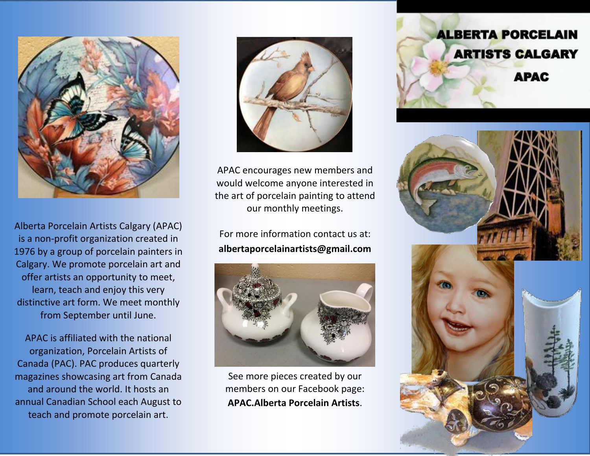

Alberta Porcelain Artists Calgary (APAC) is a non-profit organization created in 1976 by a group of porcelain painters in Calgary. We promote porcelain art and offer artists an opportunity to meet, learn, teach and enjoy this very distinctive art form. We meet monthly from September until June.

APAC is affiliated with the national organization, Porcelain Artists of Canada (PAC). PAC produces quarterly magazines showcasing art from Canada and around the world. It hosts an annual Canadian School each August to teach and promote porcelain art.



APAC encourages new members and would welcome anyone interested in the art of porcelain painting to attend our monthly meetings.

For more information contact us at: **albertaporcelainartists@gmail.com**



See more pieces created by our members on our Facebook page: **APAC.Alberta Porcelain Artists**.